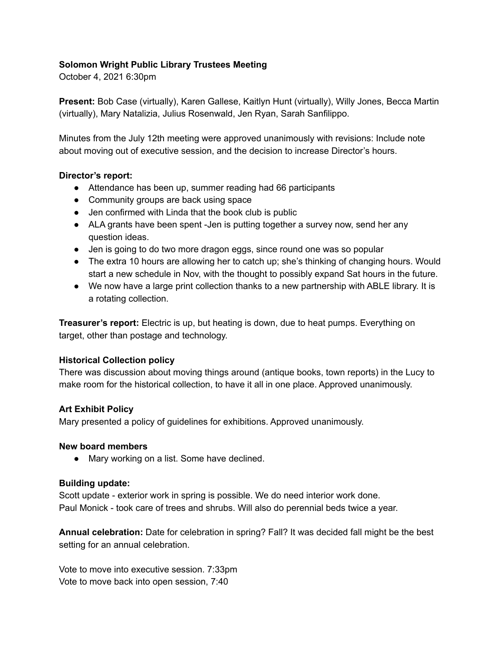### **Solomon Wright Public Library Trustees Meeting**

October 4, 2021 6:30pm

**Present:** Bob Case (virtually), Karen Gallese, Kaitlyn Hunt (virtually), Willy Jones, Becca Martin (virtually), Mary Natalizia, Julius Rosenwald, Jen Ryan, Sarah Sanfilippo.

Minutes from the July 12th meeting were approved unanimously with revisions: Include note about moving out of executive session, and the decision to increase Director's hours.

### **Director's report:**

- Attendance has been up, summer reading had 66 participants
- Community groups are back using space
- Jen confirmed with Linda that the book club is public
- ALA grants have been spent -Jen is putting together a survey now, send her any question ideas.
- Jen is going to do two more dragon eggs, since round one was so popular
- The extra 10 hours are allowing her to catch up; she's thinking of changing hours. Would start a new schedule in Nov, with the thought to possibly expand Sat hours in the future.
- We now have a large print collection thanks to a new partnership with ABLE library. It is a rotating collection.

**Treasurer's report:** Electric is up, but heating is down, due to heat pumps. Everything on target, other than postage and technology.

# **Historical Collection policy**

There was discussion about moving things around (antique books, town reports) in the Lucy to make room for the historical collection, to have it all in one place. Approved unanimously.

# **Art Exhibit Policy**

Mary presented a policy of guidelines for exhibitions. Approved unanimously.

#### **New board members**

● Mary working on a list. Some have declined.

#### **Building update:**

Scott update - exterior work in spring is possible. We do need interior work done. Paul Monick - took care of trees and shrubs. Will also do perennial beds twice a year.

**Annual celebration:** Date for celebration in spring? Fall? It was decided fall might be the best setting for an annual celebration.

Vote to move into executive session. 7:33pm Vote to move back into open session, 7:40